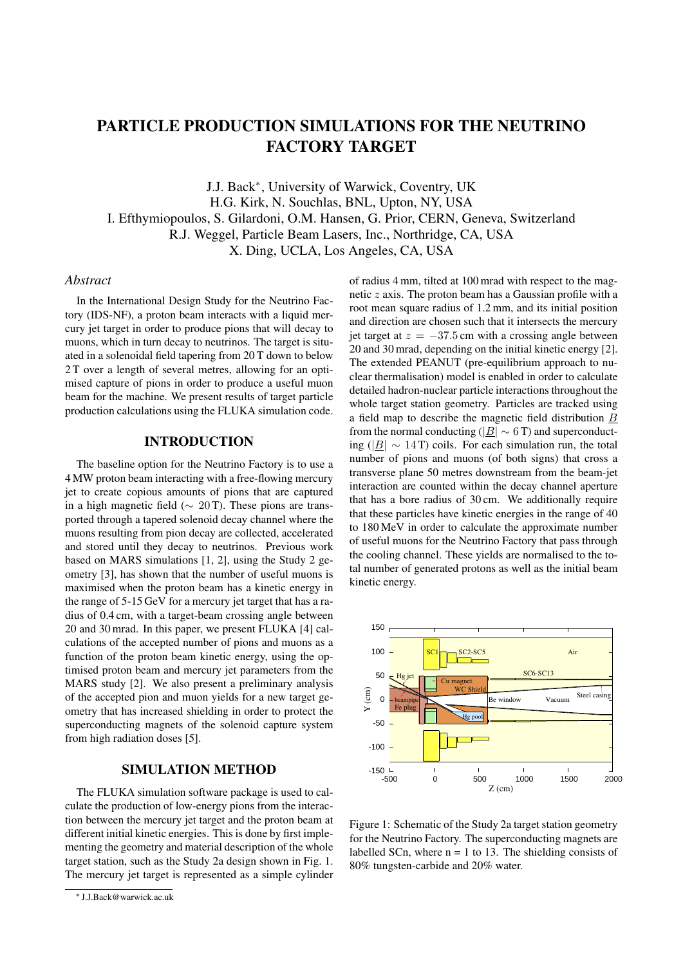# PARTICLE PRODUCTION SIMULATIONS FOR THE NEUTRINO FACTORY TARGET

J.J. Back*<sup>∗</sup>* , University of Warwick, Coventry, UK H.G. Kirk, N. Souchlas, BNL, Upton, NY, USA I. Efthymiopoulos, S. Gilardoni, O.M. Hansen, G. Prior, CERN, Geneva, Switzerland R.J. Weggel, Particle Beam Lasers, Inc., Northridge, CA, USA X. Ding, UCLA, Los Angeles, CA, USA

#### *Abstract*

In the International Design Study for the Neutrino Factory (IDS-NF), a proton beam interacts with a liquid mercury jet target in order to produce pions that will decay to muons, which in turn decay to neutrinos. The target is situated in a solenoidal field tapering from 20 T down to below 2 T over a length of several metres, allowing for an optimised capture of pions in order to produce a useful muon beam for the machine. We present results of target particle production calculations using the FLUKA simulation code.

### INTRODUCTION

The baseline option for the Neutrino Factory is to use a 4 MW proton beam interacting with a free-flowing mercury jet to create copious amounts of pions that are captured in a high magnetic field (*∼* 20 T). These pions are transported through a tapered solenoid decay channel where the muons resulting from pion decay are collected, accelerated and stored until they decay to neutrinos. Previous work based on MARS simulations [1, 2], using the Study 2 geometry [3], has shown that the number of useful muons is maximised when the proton beam has a kinetic energy in the range of 5-15 GeV for a mercury jet target that has a radius of 0.4 cm, with a target-beam crossing angle between 20 and 30 mrad. In this paper, we present FLUKA [4] calculations of the accepted number of pions and muons as a function of the proton beam kinetic energy, using the optimised proton beam and mercury jet parameters from the MARS study [2]. We also present a preliminary analysis of the accepted pion and muon yields for a new target geometry that has increased shielding in order to protect the superconducting magnets of the solenoid capture system from high radiation doses [5].

#### SIMULATION METHOD

The FLUKA simulation software package is used to calculate the production of low-energy pions from the interaction between the mercury jet target and the proton beam at different initial kinetic energies. This is done by first implementing the geometry and material description of the whole target station, such as the Study 2a design shown in Fig. 1. The mercury jet target is represented as a simple cylinder of radius 4 mm, tilted at 100 mrad with respect to the magnetic *z* axis. The proton beam has a Gaussian profile with a root mean square radius of 1.2 mm, and its initial position and direction are chosen such that it intersects the mercury jet target at  $z = -37.5$  cm with a crossing angle between 20 and 30 mrad, depending on the initial kinetic energy [2]. The extended PEANUT (pre-equilibrium approach to nuclear thermalisation) model is enabled in order to calculate detailed hadron-nuclear particle interactions throughout the whole target station geometry. Particles are tracked using a field map to describe the magnetic field distribution *B* from the normal conducting ( $|\underline{B}| \sim 6$  T) and superconducting ( $|B| \sim 14$ T) coils. For each simulation run, the total number of pions and muons (of both signs) that cross a transverse plane 50 metres downstream from the beam-jet interaction are counted within the decay channel aperture that has a bore radius of 30 cm. We additionally require that these particles have kinetic energies in the range of 40 to 180 MeV in order to calculate the approximate number of useful muons for the Neutrino Factory that pass through the cooling channel. These yields are normalised to the total number of generated protons as well as the initial beam kinetic energy.



Figure 1: Schematic of the Study 2a target station geometry for the Neutrino Factory. The superconducting magnets are labelled SCn, where  $n = 1$  to 13. The shielding consists of 80% tungsten-carbide and 20% water.

*<sup>∗</sup>* J.J.Back@warwick.ac.uk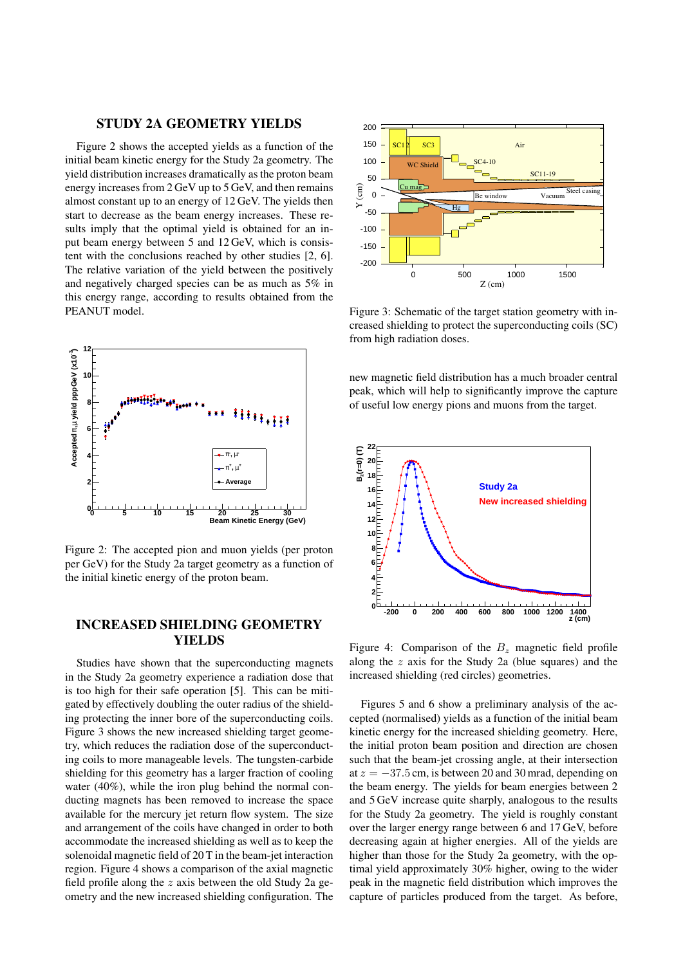#### STUDY 2A GEOMETRY YIELDS

Figure 2 shows the accepted yields as a function of the initial beam kinetic energy for the Study 2a geometry. The yield distribution increases dramatically as the proton beam energy increases from 2 GeV up to 5 GeV, and then remains almost constant up to an energy of 12 GeV. The yields then start to decrease as the beam energy increases. These results imply that the optimal yield is obtained for an input beam energy between 5 and 12 GeV, which is consistent with the conclusions reached by other studies [2, 6]. The relative variation of the yield between the positively and negatively charged species can be as much as 5% in this energy range, according to results obtained from the PEANUT model.



Figure 2: The accepted pion and muon yields (per proton per GeV) for the Study 2a target geometry as a function of the initial kinetic energy of the proton beam.

## INCREASED SHIELDING GEOMETRY YIELDS

Studies have shown that the superconducting magnets in the Study 2a geometry experience a radiation dose that is too high for their safe operation [5]. This can be mitigated by effectively doubling the outer radius of the shielding protecting the inner bore of the superconducting coils. Figure 3 shows the new increased shielding target geometry, which reduces the radiation dose of the superconducting coils to more manageable levels. The tungsten-carbide shielding for this geometry has a larger fraction of cooling water (40%), while the iron plug behind the normal conducting magnets has been removed to increase the space available for the mercury jet return flow system. The size and arrangement of the coils have changed in order to both accommodate the increased shielding as well as to keep the solenoidal magnetic field of 20 T in the beam-jet interaction region. Figure 4 shows a comparison of the axial magnetic field profile along the *z* axis between the old Study 2a geometry and the new increased shielding configuration. The



Figure 3: Schematic of the target station geometry with increased shielding to protect the superconducting coils (SC) from high radiation doses.

new magnetic field distribution has a much broader central peak, which will help to significantly improve the capture of useful low energy pions and muons from the target.



Figure 4: Comparison of the  $B_z$  magnetic field profile along the *z* axis for the Study 2a (blue squares) and the increased shielding (red circles) geometries.

Figures 5 and 6 show a preliminary analysis of the accepted (normalised) yields as a function of the initial beam kinetic energy for the increased shielding geometry. Here, the initial proton beam position and direction are chosen such that the beam-jet crossing angle, at their intersection at *z* = *−*37*.*5 cm, is between 20 and 30 mrad, depending on the beam energy. The yields for beam energies between 2 and 5 GeV increase quite sharply, analogous to the results for the Study 2a geometry. The yield is roughly constant over the larger energy range between 6 and 17 GeV, before decreasing again at higher energies. All of the yields are higher than those for the Study 2a geometry, with the optimal yield approximately 30% higher, owing to the wider peak in the magnetic field distribution which improves the capture of particles produced from the target. As before,